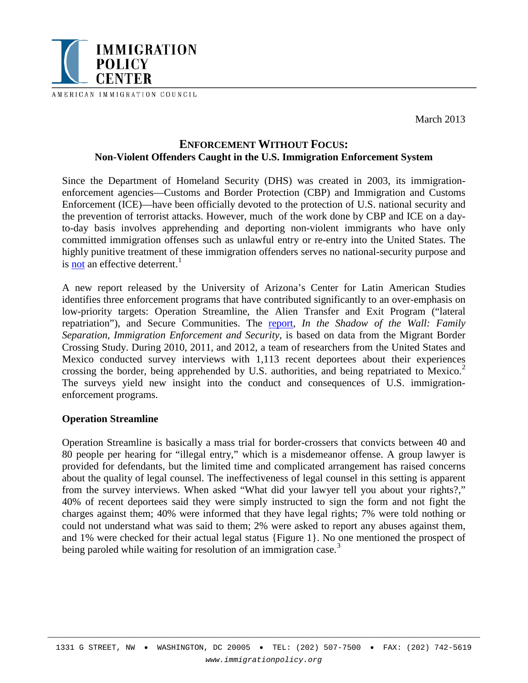

AMERICAN IMMIGRATION COUNCIL

March 2013

# **ENFORCEMENT WITHOUT FOCUS: Non-Violent Offenders Caught in the U.S. Immigration Enforcement System**

Since the Department of Homeland Security (DHS) was created in 2003, its immigrationenforcement agencies—Customs and Border Protection (CBP) and Immigration and Customs Enforcement (ICE)—have been officially devoted to the protection of U.S. national security and the prevention of terrorist attacks. However, much of the work done by CBP and ICE on a dayto-day basis involves apprehending and deporting non-violent immigrants who have only committed immigration offenses such as unlawful entry or re-entry into the United States. The highly punitive treatment of these immigration offenders serves no national-security purpose and is **not** an effective deterrent.<sup>[1](#page-3-0)</sup>

A new report released by the University of Arizona's Center for Latin American Studies identifies three enforcement programs that have contributed significantly to an over-emphasis on low-priority targets: Operation Streamline, the Alien Transfer and Exit Program ("lateral repatriation"), and Secure Communities. The [report,](http://las.arizona.edu/sites/las.arizona.edu/files/UA_Immigration_Report2013web.pdf) *In the Shadow of the Wall: Family Separation, Immigration Enforcement and Security*, is based on data from the Migrant Border Crossing Study. During 2010, 2011, and 2012, a team of researchers from the United States and Mexico conducted survey interviews with 1,113 recent deportees about their experiences crossing the border, being apprehended by U.S. authorities, and being repatriated to Mexico.<sup>[2](#page-3-1)</sup> The surveys yield new insight into the conduct and consequences of U.S. immigrationenforcement programs.

#### **Operation Streamline**

Operation Streamline is basically a mass trial for border-crossers that convicts between 40 and 80 people per hearing for "illegal entry," which is a misdemeanor offense. A group lawyer is provided for defendants, but the limited time and complicated arrangement has raised concerns about the quality of legal counsel. The ineffectiveness of legal counsel in this setting is apparent from the survey interviews. When asked "What did your lawyer tell you about your rights?," 40% of recent deportees said they were simply instructed to sign the form and not fight the charges against them; 40% were informed that they have legal rights; 7% were told nothing or could not understand what was said to them; 2% were asked to report any abuses against them, and 1% were checked for their actual legal status {Figure 1}. No one mentioned the prospect of being paroled while waiting for resolution of an immigration case.<sup>[3](#page-3-2)</sup>

\_\_\_\_\_\_\_\_\_\_\_\_\_\_\_\_\_\_\_\_\_\_\_\_\_\_\_\_\_\_\_\_\_\_\_\_\_\_\_\_\_\_\_\_\_\_\_\_\_\_\_\_\_\_\_\_\_\_\_\_\_\_\_\_\_\_\_\_\_\_\_\_\_\_\_\_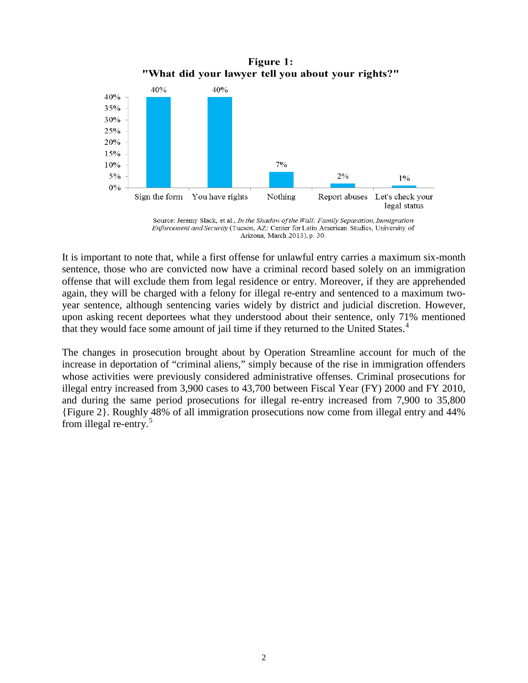"What did your lawyer tell you about your rights?" 40% 40% 40% 35% 30% 25% 20% 15% 10%  $7%$  $5\%$  $2%$  $1\%$  $0\%$ Sign the form You have rights Nothing Report abuses Let's check your legal status

Figure 1:



It is important to note that, while a first offense for unlawful entry carries a maximum six-month sentence, those who are convicted now have a criminal record based solely on an immigration offense that will exclude them from legal residence or entry. Moreover, if they are apprehended again, they will be charged with a felony for illegal re-entry and sentenced to a maximum twoyear sentence, although sentencing varies widely by district and judicial discretion. However, upon asking recent deportees what they understood about their sentence, only 71% mentioned that they would face some amount of jail time if they returned to the United States.<sup>[4](#page-3-3)</sup>

The changes in prosecution brought about by Operation Streamline account for much of the increase in deportation of "criminal aliens," simply because of the rise in immigration offenders whose activities were previously considered administrative offenses. Criminal prosecutions for illegal entry increased from 3,900 cases to 43,700 between Fiscal Year (FY) 2000 and FY 2010, and during the same period prosecutions for illegal re-entry increased from 7,900 to 35,800 {Figure 2}. Roughly 48% of all immigration prosecutions now come from illegal entry and 44% from illegal re-entry.[5](#page-3-4)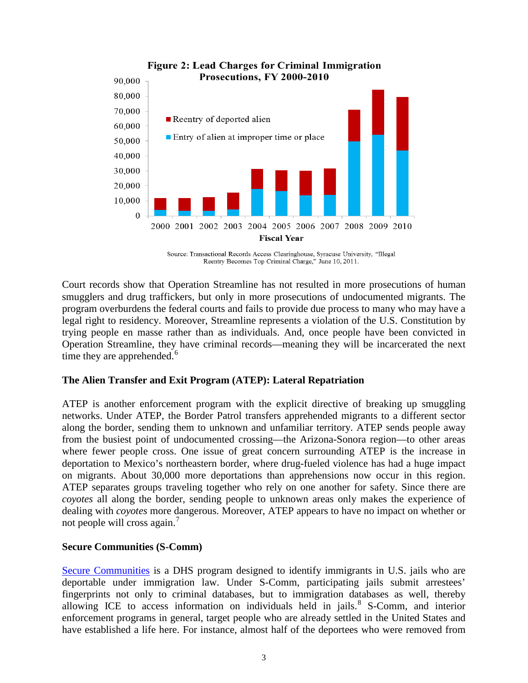

**Figure 2: Lead Charges for Criminal Immigration** 

Source: Transactional Records Access Clearinghouse, Syracuse University, "Illegal Reentry Becomes Top Criminal Charge," June 10, 2011.

Court records show that Operation Streamline has not resulted in more prosecutions of human smugglers and drug traffickers, but only in more prosecutions of undocumented migrants. The program overburdens the federal courts and fails to provide due process to many who may have a legal right to residency. Moreover, Streamline represents a violation of the U.S. Constitution by trying people en masse rather than as individuals. And, once people have been convicted in Operation Streamline, they have criminal records—meaning they will be incarcerated the next time they are apprehended. $<sup>6</sup>$  $<sup>6</sup>$  $<sup>6</sup>$ </sup>

## **The Alien Transfer and Exit Program (ATEP): Lateral Repatriation**

ATEP is another enforcement program with the explicit directive of breaking up smuggling networks. Under ATEP, the Border Patrol transfers apprehended migrants to a different sector along the border, sending them to unknown and unfamiliar territory. ATEP sends people away from the busiest point of undocumented crossing—the Arizona-Sonora region—to other areas where fewer people cross. One issue of great concern surrounding ATEP is the increase in deportation to Mexico's northeastern border, where drug-fueled violence has had a huge impact on migrants. About 30,000 more deportations than apprehensions now occur in this region. ATEP separates groups traveling together who rely on one another for safety. Since there are *coyotes* all along the border, sending people to unknown areas only makes the experience of dealing with *coyotes* more dangerous. Moreover, ATEP appears to have no impact on whether or not people will cross again.<sup>[7](#page-3-6)</sup>

#### **Secure Communities (S-Comm)**

[Secure Communities](http://www.immigrationpolicy.org/just-facts/secure-communities-fact-sheet) is a DHS program designed to identify immigrants in U.S. jails who are deportable under immigration law. Under S-Comm, participating jails submit arrestees' fingerprints not only to criminal databases, but to immigration databases as well, thereby allowing ICE to access information on individuals held in jails. $8$  S-Comm, and interior enforcement programs in general, target people who are already settled in the United States and have established a life here. For instance, almost half of the deportees who were removed from